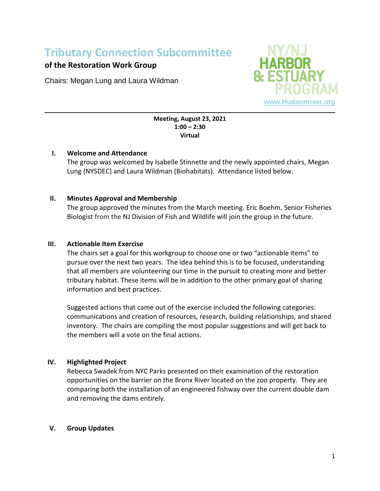# **Tributary Connection Subcommittee**

## **of the Restoration Work Group**

Chairs: Megan Lung and Laura Wildman



#### **Meeting, August 23, 2021 1:00 – 2:30 Virtual**

#### **I. Welcome and Attendance**

The group was welcomed by Isabelle Stinnette and the newly appointed chairs, Megan Lung (NYSDEC) and Laura Wildman (Biohabitats). Attendance listed below.

### **II. Minutes Approval and Membership**

The group approved the minutes from the March meeting. Eric Boehm, Senior Fisheries Biologist from the NJ Division of Fish and Wildlife will join the group in the future.

#### **III. Actionable Item Exercise**

The chairs set a goal for this workgroup to choose one or two "actionable items" to pursue over the next two years. The idea behind this is to be focused, understanding that all members are volunteering our time in the pursuit to creating more and better tributary habitat. These items will be in addition to the other primary goal of sharing information and best practices.

Suggested actions that came out of the exercise included the following categories: communications and creation of resources, research, building relationships, and shared inventory. The chairs are compiling the most popular suggestions and will get back to the members will a vote on the final actions.

### **IV. Highlighted Project**

Rebecca Swadek from NYC Parks presented on their examination of the restoration opportunities on the barrier on the Bronx River located on the zoo property. They are comparing both the installation of an engineered fishway over the current double dam and removing the dams entirely.

### **V. Group Updates**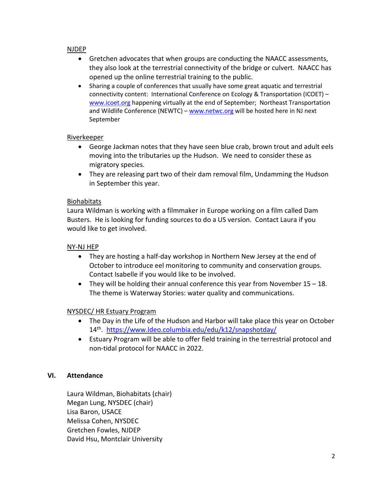#### NJDEP

- Gretchen advocates that when groups are conducting the NAACC assessments, they also look at the terrestrial connectivity of the bridge or culvert. NAACC has opened up the online terrestrial training to the public.
- Sharing a couple of conferences that usually have some great aquatic and terrestrial connectivity content: International Conference on Ecology & Transportation (ICOET) – [www.icoet.org](http://www.icoet.org/) happening virtually at the end of September; Northeast Transportation and Wildlife Conference (NEWTC) – [www.netwc.org](http://www.netwc.org/) will be hosted here in NJ next September

#### Riverkeeper

- George Jackman notes that they have seen blue crab, brown trout and adult eels moving into the tributaries up the Hudson. We need to consider these as migratory species.
- They are releasing part two of their dam removal film, Undamming the Hudson in September this year.

#### Biohabitats

Laura Wildman is working with a filmmaker in Europe working on a film called Dam Busters. He is looking for funding sources to do a US version. Contact Laura if you would like to get involved.

#### NY-NJ HEP

- They are hosting a half-day workshop in Northern New Jersey at the end of October to introduce eel monitoring to community and conservation groups. Contact Isabelle if you would like to be involved.
- They will be holding their annual conference this year from November  $15 18$ . The theme is Waterway Stories: water quality and communications.

### NYSDEC/ HR Estuary Program

- The Day in the Life of the Hudson and Harbor will take place this year on October 14th. <https://www.ldeo.columbia.edu/edu/k12/snapshotday/>
- Estuary Program will be able to offer field training in the terrestrial protocol and non-tidal protocol for NAACC in 2022.

### **VI. Attendance**

Laura Wildman, Biohabitats (chair) Megan Lung, NYSDEC (chair) Lisa Baron, USACE Melissa Cohen, NYSDEC Gretchen Fowles, NJDEP David Hsu, Montclair University